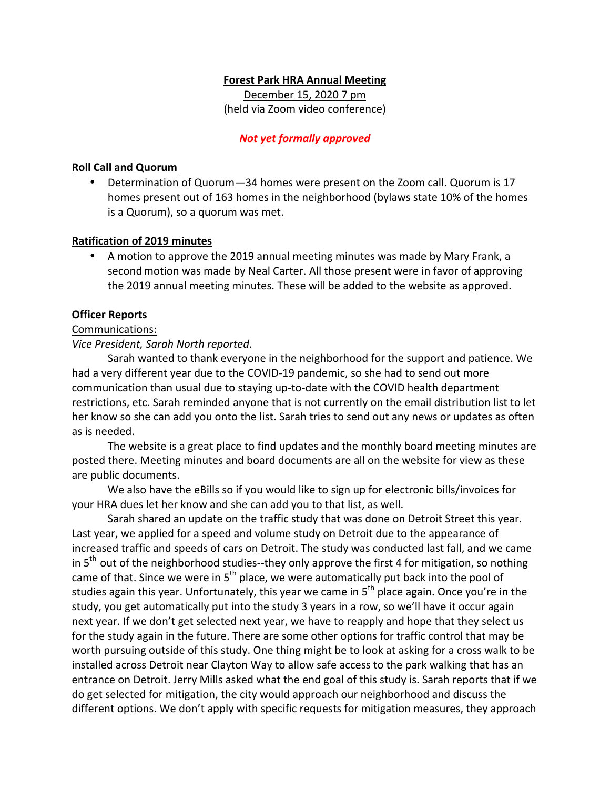## **Forest Park HRA Annual Meeting**

December 15, 2020 7 pm (held via Zoom video conference)

### *Not yet formally approved*

## **Roll Call and Quorum**

Determination of Quorum-34 homes were present on the Zoom call. Quorum is 17 homes present out of 163 homes in the neighborhood (bylaws state 10% of the homes is a Quorum), so a quorum was met.

## **Ratification of 2019 minutes**

• A motion to approve the 2019 annual meeting minutes was made by Mary Frank, a second motion was made by Neal Carter. All those present were in favor of approving the 2019 annual meeting minutes. These will be added to the website as approved.

## **Officer Reports**

## Communications:

*Vice President, Sarah North reported*. 

Sarah wanted to thank everyone in the neighborhood for the support and patience. We had a very different year due to the COVID-19 pandemic, so she had to send out more communication than usual due to staying up-to-date with the COVID health department restrictions, etc. Sarah reminded anyone that is not currently on the email distribution list to let her know so she can add you onto the list. Sarah tries to send out any news or updates as often as is needed.

The website is a great place to find updates and the monthly board meeting minutes are posted there. Meeting minutes and board documents are all on the website for view as these are public documents.

We also have the eBills so if you would like to sign up for electronic bills/invoices for your HRA dues let her know and she can add you to that list, as well.

Sarah shared an update on the traffic study that was done on Detroit Street this year. Last year, we applied for a speed and volume study on Detroit due to the appearance of increased traffic and speeds of cars on Detroit. The study was conducted last fall, and we came in  $5<sup>th</sup>$  out of the neighborhood studies--they only approve the first 4 for mitigation, so nothing came of that. Since we were in  $5<sup>th</sup>$  place, we were automatically put back into the pool of studies again this year. Unfortunately, this year we came in  $5<sup>th</sup>$  place again. Once you're in the study, you get automatically put into the study 3 years in a row, so we'll have it occur again next year. If we don't get selected next year, we have to reapply and hope that they select us for the study again in the future. There are some other options for traffic control that may be worth pursuing outside of this study. One thing might be to look at asking for a cross walk to be installed across Detroit near Clayton Way to allow safe access to the park walking that has an entrance on Detroit. Jerry Mills asked what the end goal of this study is. Sarah reports that if we do get selected for mitigation, the city would approach our neighborhood and discuss the different options. We don't apply with specific requests for mitigation measures, they approach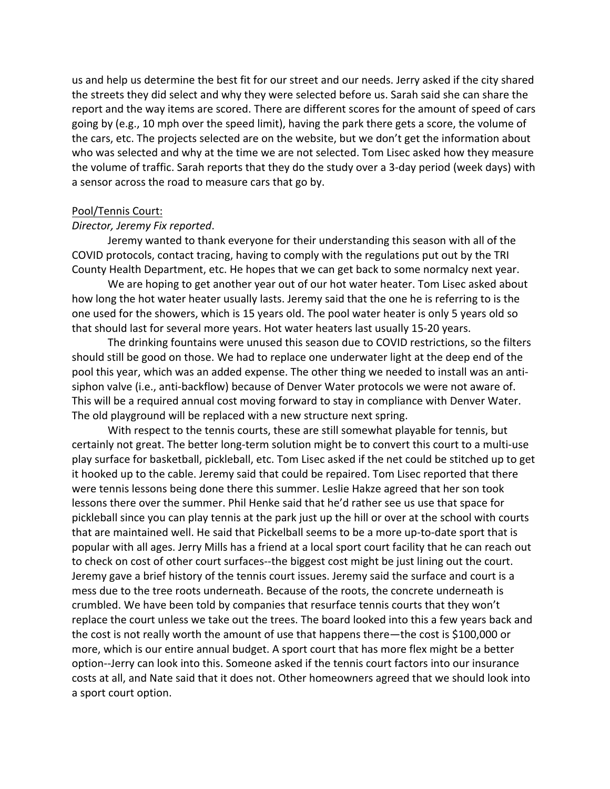us and help us determine the best fit for our street and our needs. Jerry asked if the city shared the streets they did select and why they were selected before us. Sarah said she can share the report and the way items are scored. There are different scores for the amount of speed of cars going by (e.g., 10 mph over the speed limit), having the park there gets a score, the volume of the cars, etc. The projects selected are on the website, but we don't get the information about who was selected and why at the time we are not selected. Tom Lisec asked how they measure the volume of traffic. Sarah reports that they do the study over a 3-day period (week days) with a sensor across the road to measure cars that go by.

#### Pool/Tennis Court:

#### *Director, Jeremy Fix reported*.

Jeremy wanted to thank everyone for their understanding this season with all of the COVID protocols, contact tracing, having to comply with the regulations put out by the TRI County Health Department, etc. He hopes that we can get back to some normalcy next year.

We are hoping to get another year out of our hot water heater. Tom Lisec asked about how long the hot water heater usually lasts. Jeremy said that the one he is referring to is the one used for the showers, which is 15 years old. The pool water heater is only 5 years old so that should last for several more years. Hot water heaters last usually 15-20 years.

The drinking fountains were unused this season due to COVID restrictions, so the filters should still be good on those. We had to replace one underwater light at the deep end of the pool this year, which was an added expense. The other thing we needed to install was an antisiphon valve (i.e., anti-backflow) because of Denver Water protocols we were not aware of. This will be a required annual cost moving forward to stay in compliance with Denver Water. The old playground will be replaced with a new structure next spring.

With respect to the tennis courts, these are still somewhat playable for tennis, but certainly not great. The better long-term solution might be to convert this court to a multi-use play surface for basketball, pickleball, etc. Tom Lisec asked if the net could be stitched up to get it hooked up to the cable. Jeremy said that could be repaired. Tom Lisec reported that there were tennis lessons being done there this summer. Leslie Hakze agreed that her son took lessons there over the summer. Phil Henke said that he'd rather see us use that space for pickleball since you can play tennis at the park just up the hill or over at the school with courts that are maintained well. He said that Pickelball seems to be a more up-to-date sport that is popular with all ages. Jerry Mills has a friend at a local sport court facility that he can reach out to check on cost of other court surfaces--the biggest cost might be just lining out the court. Jeremy gave a brief history of the tennis court issues. Jeremy said the surface and court is a mess due to the tree roots underneath. Because of the roots, the concrete underneath is crumbled. We have been told by companies that resurface tennis courts that they won't replace the court unless we take out the trees. The board looked into this a few years back and the cost is not really worth the amount of use that happens there—the cost is \$100,000 or more, which is our entire annual budget. A sport court that has more flex might be a better option--Jerry can look into this. Someone asked if the tennis court factors into our insurance costs at all, and Nate said that it does not. Other homeowners agreed that we should look into a sport court option.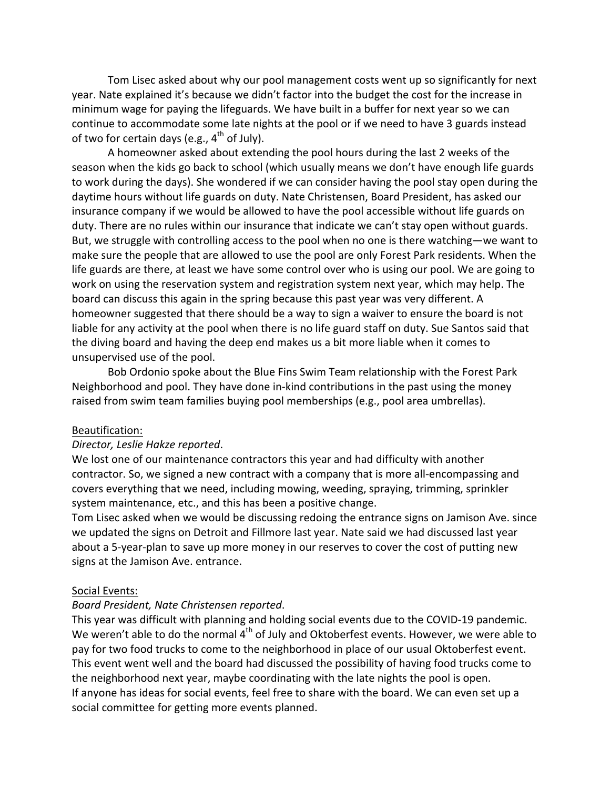Tom Lisec asked about why our pool management costs went up so significantly for next year. Nate explained it's because we didn't factor into the budget the cost for the increase in minimum wage for paying the lifeguards. We have built in a buffer for next year so we can continue to accommodate some late nights at the pool or if we need to have 3 guards instead of two for certain days (e.g.,  $4^{th}$  of July).

A homeowner asked about extending the pool hours during the last 2 weeks of the season when the kids go back to school (which usually means we don't have enough life guards to work during the days). She wondered if we can consider having the pool stay open during the daytime hours without life guards on duty. Nate Christensen, Board President, has asked our insurance company if we would be allowed to have the pool accessible without life guards on duty. There are no rules within our insurance that indicate we can't stay open without guards. But, we struggle with controlling access to the pool when no one is there watching—we want to make sure the people that are allowed to use the pool are only Forest Park residents. When the life guards are there, at least we have some control over who is using our pool. We are going to work on using the reservation system and registration system next year, which may help. The board can discuss this again in the spring because this past year was very different. A homeowner suggested that there should be a way to sign a waiver to ensure the board is not liable for any activity at the pool when there is no life guard staff on duty. Sue Santos said that the diving board and having the deep end makes us a bit more liable when it comes to unsupervised use of the pool.

Bob Ordonio spoke about the Blue Fins Swim Team relationship with the Forest Park Neighborhood and pool. They have done in-kind contributions in the past using the money raised from swim team families buying pool memberships (e.g., pool area umbrellas).

## Beautification:

### *Director, Leslie Hakze reported*.

We lost one of our maintenance contractors this year and had difficulty with another contractor. So, we signed a new contract with a company that is more all-encompassing and covers everything that we need, including mowing, weeding, spraying, trimming, sprinkler system maintenance, etc., and this has been a positive change.

Tom Lisec asked when we would be discussing redoing the entrance signs on Jamison Ave. since we updated the signs on Detroit and Fillmore last year. Nate said we had discussed last year about a 5-year-plan to save up more money in our reserves to cover the cost of putting new signs at the Jamison Ave. entrance.

#### Social Events:

## *Board President, Nate Christensen reported*.

This year was difficult with planning and holding social events due to the COVID-19 pandemic. We weren't able to do the normal  $4<sup>th</sup>$  of July and Oktoberfest events. However, we were able to pay for two food trucks to come to the neighborhood in place of our usual Oktoberfest event. This event went well and the board had discussed the possibility of having food trucks come to the neighborhood next year, maybe coordinating with the late nights the pool is open. If anyone has ideas for social events, feel free to share with the board. We can even set up a social committee for getting more events planned.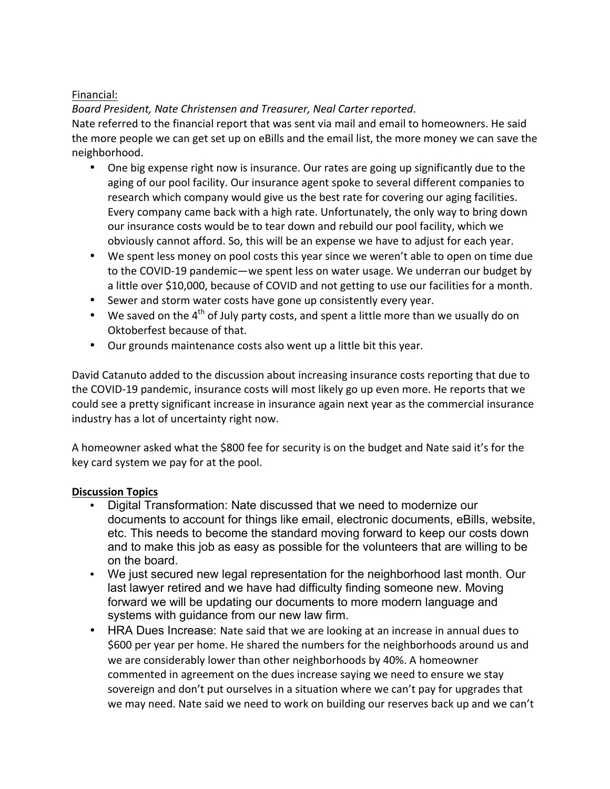# Financial:

# *Board President, Nate Christensen and Treasurer, Neal Carter reported*.

Nate referred to the financial report that was sent via mail and email to homeowners. He said the more people we can get set up on eBills and the email list, the more money we can save the neighborhood.

- One big expense right now is insurance. Our rates are going up significantly due to the aging of our pool facility. Our insurance agent spoke to several different companies to research which company would give us the best rate for covering our aging facilities. Every company came back with a high rate. Unfortunately, the only way to bring down our insurance costs would be to tear down and rebuild our pool facility, which we obviously cannot afford. So, this will be an expense we have to adjust for each year.
- We spent less money on pool costs this year since we weren't able to open on time due to the COVID-19 pandemic—we spent less on water usage. We underran our budget by a little over \$10,000, because of COVID and not getting to use our facilities for a month.
- Sewer and storm water costs have gone up consistently every year.
- We saved on the  $4<sup>th</sup>$  of July party costs, and spent a little more than we usually do on Oktoberfest because of that.
- Our grounds maintenance costs also went up a little bit this year.

David Catanuto added to the discussion about increasing insurance costs reporting that due to the COVID-19 pandemic, insurance costs will most likely go up even more. He reports that we could see a pretty significant increase in insurance again next year as the commercial insurance industry has a lot of uncertainty right now.

A homeowner asked what the \$800 fee for security is on the budget and Nate said it's for the key card system we pay for at the pool.

## **Discussion Topics**

- Digital Transformation: Nate discussed that we need to modernize our documents to account for things like email, electronic documents, eBills, website, etc. This needs to become the standard moving forward to keep our costs down and to make this job as easy as possible for the volunteers that are willing to be on the board.
- We just secured new legal representation for the neighborhood last month. Our last lawyer retired and we have had difficulty finding someone new. Moving forward we will be updating our documents to more modern language and systems with guidance from our new law firm.
- HRA Dues Increase: Nate said that we are looking at an increase in annual dues to \$600 per year per home. He shared the numbers for the neighborhoods around us and we are considerably lower than other neighborhoods by 40%. A homeowner commented in agreement on the dues increase saying we need to ensure we stay sovereign and don't put ourselves in a situation where we can't pay for upgrades that we may need. Nate said we need to work on building our reserves back up and we can't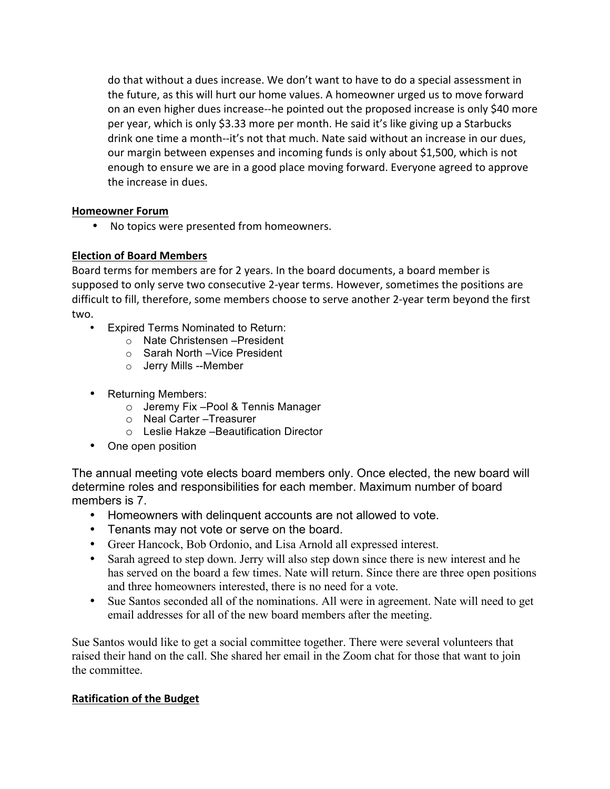do that without a dues increase. We don't want to have to do a special assessment in the future, as this will hurt our home values. A homeowner urged us to move forward on an even higher dues increase--he pointed out the proposed increase is only \$40 more per year, which is only \$3.33 more per month. He said it's like giving up a Starbucks drink one time a month--it's not that much. Nate said without an increase in our dues, our margin between expenses and incoming funds is only about \$1,500, which is not enough to ensure we are in a good place moving forward. Everyone agreed to approve the increase in dues.

## **Homeowner Forum**

• No topics were presented from homeowners.

# **Election of Board Members**

Board terms for members are for 2 years. In the board documents, a board member is supposed to only serve two consecutive 2-year terms. However, sometimes the positions are difficult to fill, therefore, some members choose to serve another 2-year term beyond the first two.

- Expired Terms Nominated to Return:
	- o Nate Christensen –President
	- o Sarah North –Vice President
	- o Jerry Mills --Member
- Returning Members:
	- o Jeremy Fix –Pool & Tennis Manager
	- o Neal Carter –Treasurer
	- o Leslie Hakze –Beautification Director
- One open position

The annual meeting vote elects board members only. Once elected, the new board will determine roles and responsibilities for each member. Maximum number of board members is 7.

- Homeowners with delinquent accounts are not allowed to vote.
- Tenants may not vote or serve on the board.
- Greer Hancock, Bob Ordonio, and Lisa Arnold all expressed interest.
- Sarah agreed to step down. Jerry will also step down since there is new interest and he has served on the board a few times. Nate will return. Since there are three open positions and three homeowners interested, there is no need for a vote.
- Sue Santos seconded all of the nominations. All were in agreement. Nate will need to get email addresses for all of the new board members after the meeting.

Sue Santos would like to get a social committee together. There were several volunteers that raised their hand on the call. She shared her email in the Zoom chat for those that want to join the committee.

## **Ratification of the Budget**